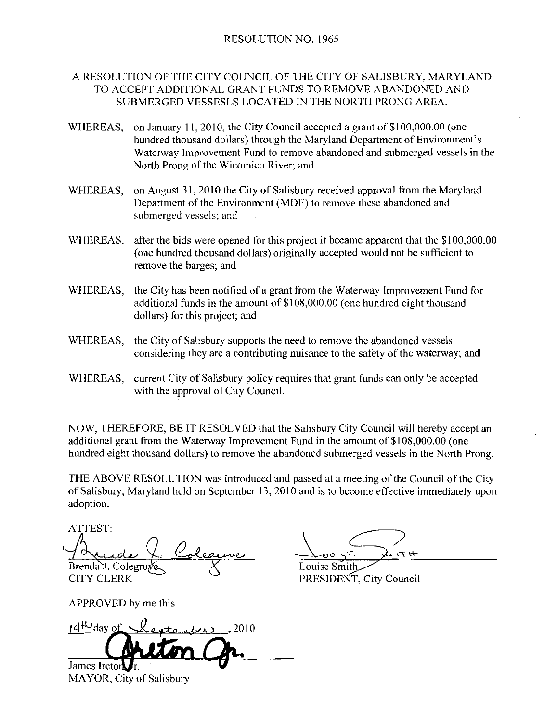A RESOLUTION OF THE CITY COUNCIL OF THE CITY OF SALISBURY, MARYLAND TO ACCEPT ADDITIONAL GRANT FUNDS TO REMOVE ABANDONED AND SUBMERGED VESSESLS LOCATED IN THE NORTH PRONG AREA.

- WHEREAS, on January 11, 2010, the City Council accepted a grant of \$100,000.00 (one hundred thousand dollars) through the Maryland Departmen Waterway Improvement Fund to remove abandoned and submerged vessels in the JRY, MARYLAN<br>|DONED AND<br>|G AREA.<br>|00,000.00 (one<br>|of Environment's<br>|nerged vessels in North Prong of the Wicomico River; and
- WHEREAS, on August 31, 2010 the City of Salisbury received approval from the Maryland Department of the Environment (MDE) to remove these abandoned and submerged vessels; and
- WHEREAS, after the bids were opened for this project it became apparent that the \$100,000.00 (one hundred thousand dollars) originally accepted would not be sufficient to remove the barges; and
- WHEREAS, the City has been notified of a grant from the Waterway Improvement Fund for additional funds in the amount of  $$108,000.00$  (one hundred eight thousand dollars) for this project; and
- WHEREAS, the City of Salisbury supports the need to remove the abandoned vessels considering they are a contributing nuisance to the safety of the waterway; and
- WHEREAS, current City of Salisbury policy requires that grant funds can only be accepted with the approval of City Council.

NOW, THEREFORE, BE IT RESOLVED that the Salisbury City Council will hereby accept an additional grant from the Waterway Improvement Fund in the amount of \$108,000.00 (one NOW, THEREFORE, BE IT RESOLVED that the Salisbury City Council will hereby accept an additional grant from the Waterway Improvement Fund in the amount of \$108,000.00 (one hundred eight thousand dollars) to remove the aband

THE ABOVE RESOLUTION was introduced and passed at ameeting of the Council of the City of Salisbury, Maryland held on September 13, 2010 and is to become effective immediately upon adoption

ATTEST nan grant i<br>d eight the<br>BOVE RI<br>bury, Ma<br>n.<br>T:<br>T:<br><u>t e ol o</u> y.<br>D. Colegr Brenda J. Colegro **CITY CLERK** 

APPROVED by me this

 $d^{\text{HU}}$ day of  $\sqrt{d}$  atomized 2010 James Iretor

MAYOR, City of Salisbury

 $\frac{1}{\sqrt{\frac{1}{\text{ouise Smith}}}}$ Louise Smith

PRESIDENT, City Council